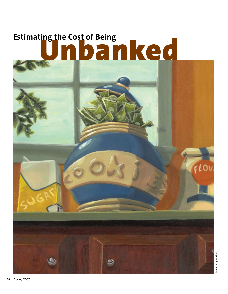# Estimating the Cost of Being<br> **Unbanked**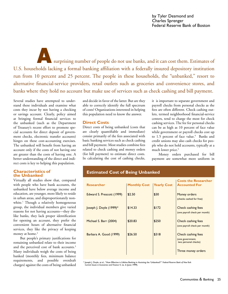by Tyler Desmond and Charles Sprenger Federal Reserve Bank of Boston

surprising number of people do not use banks, and it can cost them. Estimates of U.S. households lacking a formal banking affiliation with a federally insured depository institution run from 10 percent and 25 percent. The people in these households, the "unbanked," resort to alternative financial-service providers, retail outlets such as groceries and convenience stores, and banks where they hold no account but make use of services such as check cashing and bill payment. A

Several studies have attempted to understand these individuals and examine what costs they incur by not having a checking or savings account. Clearly, policy aimed at bringing formal financial services to the unbanked (such as the Department of Treasury's recent effort to promote special accounts for direct deposit of government checks, electronic transfer accounts) hinges on these cost-accounting exercises. The unbanked will benefit from having an account only if the costs of not having one are greater than the costs of having one. A better understanding of the direct and indirect costs is key to helping this population.

# **Characteristics of the Unbanked**

Virtually all studies show that, compared with people who have bank accounts, the unbanked have below average income and education, are younger, more likely to reside in urban areas, and disproportionately nonwhite.1 Though a relatively homogeneous group, the individual members give varied reasons for not having accounts—they dislike banks, they lack proper identification for opening an account, they prefer the convenient hours of alternative financial services, they like the privacy of keeping money at home.<sup>2</sup>

But people's primary justifications for remaining unbanked relate to their income and the perceived cost of bank accounts.3 Many individuals weigh the costs of being banked (monthly fees, minimum balance requirements, and possible overdraft charges) against the costs of being unbanked

and decide in favor of the latter. But are they able to correctly identify the full spectrum of costs? Organizations interested in helping this population need to know the answer.

# **Direct Costs**

Direct costs of being unbanked (costs that are clearly quantifiable and immediate) consist primarily of the fees associated with basic banking services such as check cashing and bill payment. Most studies combine fees related to check cashing and money orders (for bill payment) to estimate direct costs. In calculating the cost of cashing checks, it is important to separate government and payroll checks from personal checks as the fees are often different. Check cashing outlets, termed neighborhood financial-service centers, tend to charge the most for check cashing services. The fee for personal checks can be as high as 10 percent of face value while government or payroll checks cost up to 1.5 percent of face value.<sup>4</sup> Banks and credit unions may also cash checks for people who do not hold accounts, typically at a much lower price.<sup>5</sup>

Money orders purchased for bill payment are somewhat more uniform in

# **Estimated Cost of Being Unbanked**

| <b>Researcher</b>            | <b>Monthly Cost</b> | <b>Yearly Cost</b> | <b>Costs the Researcher</b><br><b>Accounted For</b>                                  |
|------------------------------|---------------------|--------------------|--------------------------------------------------------------------------------------|
| Edward S. Prescott (1999)    | \$2.50              | \$30               | Money orders<br>(checks cashed for free)                                             |
| $ oseph $ . Doyle $(1999)^*$ | \$14.33             | \$172              | Check cashing fees<br>(one payroll check per month)                                  |
| Michael S. Barr (2004)       | \$20.83             | \$250              | Check cashing fees<br>(one payroll check per month)                                  |
| Barbara A. Good (1999)       | \$26.50             | \$318              | Check cashing fees<br>(one government,<br>two personal checks)<br>Three money orders |

\* Joseph J. Doyle, et al., "How Effective is Lifeline Banking in Assisting the 'Unbanked'?" *Federal Reserve Bank of New York Current Issues in Economics and Finance* 4, no. 6 (June 1999).